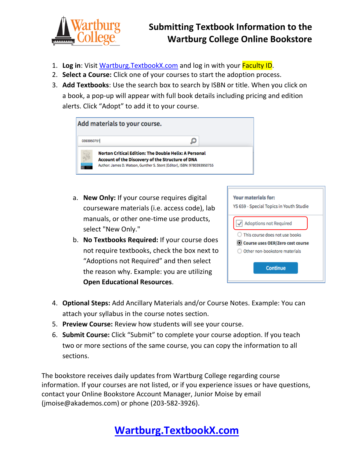

- 1. **Log in**: Visit [Wartburg.TextbookX.com](https://wartburg.textbookx.com/institutional/index.php) and log in with your Faculty ID.
- 2. **Select a Course:** Click one of your courses to start the adoption process.
- 3. **Add Textbooks**: Use the search box to search by ISBN or title. When you click on a book, a pop-up will appear with full book details including pricing and edition alerts. Click "Adopt" to add it to your course.



- a. **New Only:** If your course requires digital courseware materials (i.e. access code), lab manuals, or other one-time use products, select "New Only."
- b. **No Textbooks Required:** If your course does not require textbooks, check the box next to "Adoptions not Required" and then select the reason why. Example: you are utilizing **Open Educational Resources**.

| <b>Your materials for:</b><br>YS 659 - Special Topics in Youth Studie |
|-----------------------------------------------------------------------|
| <b>Adoptions not Required</b>                                         |
| This course does not use books                                        |
| C Course uses OER/Zero cost course                                    |
| Other non-bookstore materials                                         |
| Continue                                                              |

- 4. **Optional Steps:** Add Ancillary Materials and/or Course Notes. Example: You can attach your syllabus in the course notes section.
- 5. **Preview Course:** Review how students will see your course.
- 6. **Submit Course:** Click "Submit" to complete your course adoption. If you teach two or more sections of the same course, you can copy the information to all sections.

The bookstore receives daily updates from Wartburg College regarding course information. If your courses are not listed, or if you experience issues or have questions, contact your Online Bookstore Account Manager, Junior Moise by email (jmoise@akademos.com) or phone (203-582-3926).

# **[Wartburg.TextbookX.com](https://wartburg.textbookx.com/institutional/index.php)**